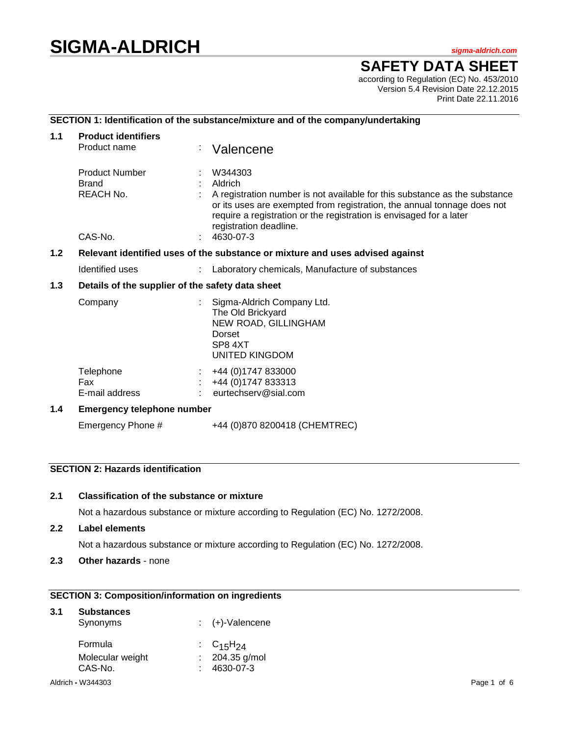# **SIGMA-ALDRICH** *sigma-aldrich.com*

**SAFETY DATA SHEET**

according to Regulation (EC) No. 453/2010 Version 5.4 Revision Date 22.12.2015 Print Date 22.11.2016

# **SECTION 1: Identification of the substance/mixture and of the company/undertaking**

| 1.1              | <b>Product identifiers</b>                                                    |                                                                                                                |                                                                                                                                                                                                                                                                              |  |  |  |  |
|------------------|-------------------------------------------------------------------------------|----------------------------------------------------------------------------------------------------------------|------------------------------------------------------------------------------------------------------------------------------------------------------------------------------------------------------------------------------------------------------------------------------|--|--|--|--|
|                  | Product name                                                                  |                                                                                                                | Valencene                                                                                                                                                                                                                                                                    |  |  |  |  |
|                  | <b>Product Number</b><br><b>Brand</b><br>REACH No.                            |                                                                                                                | W344303<br>Aldrich<br>A registration number is not available for this substance as the substance<br>or its uses are exempted from registration, the annual tonnage does not<br>require a registration or the registration is envisaged for a later<br>registration deadline. |  |  |  |  |
|                  | CAS-No.                                                                       |                                                                                                                | 4630-07-3                                                                                                                                                                                                                                                                    |  |  |  |  |
| 1.2 <sub>2</sub> | Relevant identified uses of the substance or mixture and uses advised against |                                                                                                                |                                                                                                                                                                                                                                                                              |  |  |  |  |
|                  | Identified uses                                                               |                                                                                                                | Laboratory chemicals, Manufacture of substances                                                                                                                                                                                                                              |  |  |  |  |
| 1.3              | Details of the supplier of the safety data sheet                              |                                                                                                                |                                                                                                                                                                                                                                                                              |  |  |  |  |
|                  | Company                                                                       | Sigma-Aldrich Company Ltd.<br>The Old Brickyard<br>NEW ROAD, GILLINGHAM<br>Dorset<br>SP8 4XT<br>UNITED KINGDOM |                                                                                                                                                                                                                                                                              |  |  |  |  |
|                  | Telephone<br>Fax<br>E-mail address                                            |                                                                                                                | +44 (0) 1747 833000<br>+44 (0) 1747 833313<br>eurtechserv@sial.com                                                                                                                                                                                                           |  |  |  |  |
| 1.4              | <b>Emergency telephone number</b>                                             |                                                                                                                |                                                                                                                                                                                                                                                                              |  |  |  |  |
|                  | Emergency Phone #                                                             |                                                                                                                | +44 (0)870 8200418 (CHEMTREC)                                                                                                                                                                                                                                                |  |  |  |  |

# **SECTION 2: Hazards identification**

## **2.1 Classification of the substance or mixture**

Not a hazardous substance or mixture according to Regulation (EC) No. 1272/2008.

**2.2 Label elements**

Not a hazardous substance or mixture according to Regulation (EC) No. 1272/2008.

**2.3 Other hazards** - none

# **SECTION 3: Composition/information on ingredients**

| 3.1 | <b>Substances</b><br>Synonyms |   | (+)-Valencene             |             |
|-----|-------------------------------|---|---------------------------|-------------|
|     | Formula                       |   | : $C_{15}H_{24}$          |             |
|     | Molecular weight<br>CAS-No.   | ÷ | 204.35 g/mol<br>4630-07-3 |             |
|     | Aldrich - W344303             |   |                           | Page 1 of 6 |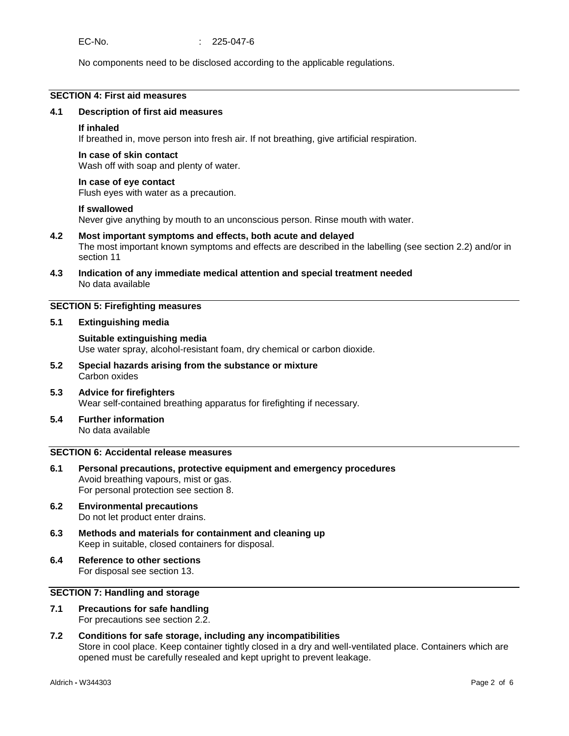No components need to be disclosed according to the applicable regulations.

## **SECTION 4: First aid measures**

#### **4.1 Description of first aid measures**

#### **If inhaled**

If breathed in, move person into fresh air. If not breathing, give artificial respiration.

#### **In case of skin contact**

Wash off with soap and plenty of water.

#### **In case of eye contact**

Flush eyes with water as a precaution.

#### **If swallowed**

Never give anything by mouth to an unconscious person. Rinse mouth with water.

#### **4.2 Most important symptoms and effects, both acute and delayed** The most important known symptoms and effects are described in the labelling (see section 2.2) and/or in section 11

**4.3 Indication of any immediate medical attention and special treatment needed** No data available

## **SECTION 5: Firefighting measures**

## **5.1 Extinguishing media**

## **Suitable extinguishing media** Use water spray, alcohol-resistant foam, dry chemical or carbon dioxide.

**5.2 Special hazards arising from the substance or mixture** Carbon oxides

#### **5.3 Advice for firefighters** Wear self-contained breathing apparatus for firefighting if necessary.

**5.4 Further information** No data available

#### **SECTION 6: Accidental release measures**

- **6.1 Personal precautions, protective equipment and emergency procedures** Avoid breathing vapours, mist or gas. For personal protection see section 8.
- **6.2 Environmental precautions** Do not let product enter drains.
- **6.3 Methods and materials for containment and cleaning up** Keep in suitable, closed containers for disposal.
- **6.4 Reference to other sections** For disposal see section 13.

## **SECTION 7: Handling and storage**

**7.1 Precautions for safe handling** For precautions see section 2.2.

# **7.2 Conditions for safe storage, including any incompatibilities** Store in cool place. Keep container tightly closed in a dry and well-ventilated place. Containers which are opened must be carefully resealed and kept upright to prevent leakage.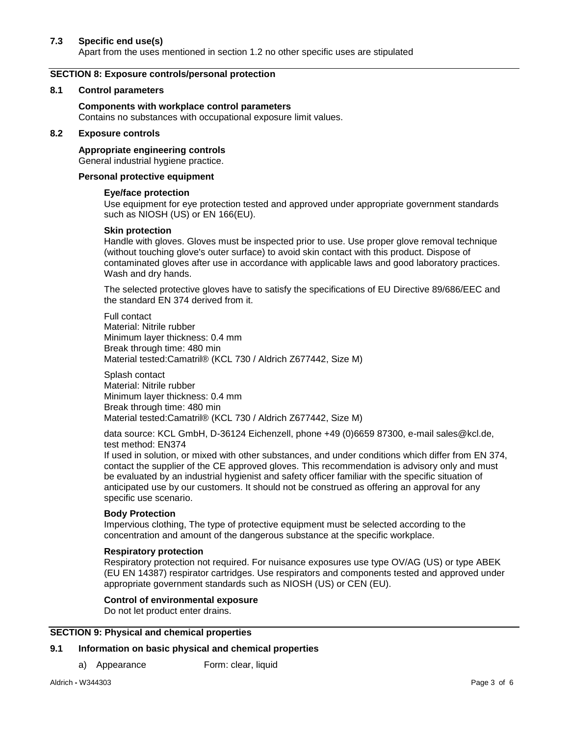## **7.3 Specific end use(s)**

Apart from the uses mentioned in section 1.2 no other specific uses are stipulated

## **SECTION 8: Exposure controls/personal protection**

#### **8.1 Control parameters**

### **Components with workplace control parameters**

Contains no substances with occupational exposure limit values.

#### **8.2 Exposure controls**

**Appropriate engineering controls** General industrial hygiene practice.

#### **Personal protective equipment**

## **Eye/face protection**

Use equipment for eye protection tested and approved under appropriate government standards such as NIOSH (US) or EN 166(EU).

## **Skin protection**

Handle with gloves. Gloves must be inspected prior to use. Use proper glove removal technique (without touching glove's outer surface) to avoid skin contact with this product. Dispose of contaminated gloves after use in accordance with applicable laws and good laboratory practices. Wash and dry hands.

The selected protective gloves have to satisfy the specifications of EU Directive 89/686/EEC and the standard EN 374 derived from it.

Full contact Material: Nitrile rubber Minimum layer thickness: 0.4 mm Break through time: 480 min Material tested:Camatril® (KCL 730 / Aldrich Z677442, Size M)

Splash contact Material: Nitrile rubber Minimum layer thickness: 0.4 mm Break through time: 480 min Material tested:Camatril® (KCL 730 / Aldrich Z677442, Size M)

data source: KCL GmbH, D-36124 Eichenzell, phone +49 (0)6659 87300, e-mail sales@kcl.de, test method: EN374

If used in solution, or mixed with other substances, and under conditions which differ from EN 374, contact the supplier of the CE approved gloves. This recommendation is advisory only and must be evaluated by an industrial hygienist and safety officer familiar with the specific situation of anticipated use by our customers. It should not be construed as offering an approval for any specific use scenario.

#### **Body Protection**

Impervious clothing, The type of protective equipment must be selected according to the concentration and amount of the dangerous substance at the specific workplace.

#### **Respiratory protection**

Respiratory protection not required. For nuisance exposures use type OV/AG (US) or type ABEK (EU EN 14387) respirator cartridges. Use respirators and components tested and approved under appropriate government standards such as NIOSH (US) or CEN (EU).

## **Control of environmental exposure**

Do not let product enter drains.

## **SECTION 9: Physical and chemical properties**

## **9.1 Information on basic physical and chemical properties**

a) Appearance Form: clear, liquid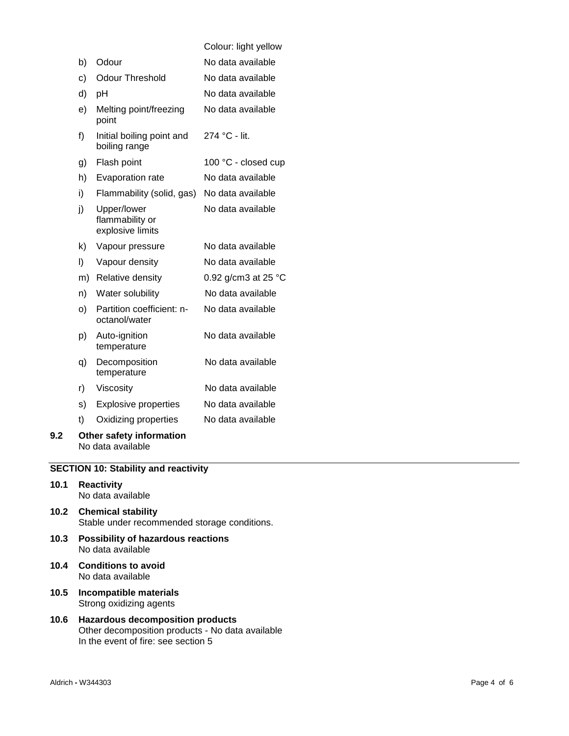|     |    |                                                    | Colour: light yellow          |
|-----|----|----------------------------------------------------|-------------------------------|
|     | b) | Odour                                              | No data available             |
|     | c) | <b>Odour Threshold</b>                             | No data available             |
|     | d) | pH                                                 | No data available             |
|     | e) | Melting point/freezing<br>point                    | No data available             |
|     | f) | Initial boiling point and<br>boiling range         | 274 °C - lit.                 |
|     | g) | Flash point                                        | 100 °C - closed cup           |
|     | h) | Evaporation rate                                   | No data available             |
|     | i) | Flammability (solid, gas)                          | No data available             |
|     | j) | Upper/lower<br>flammability or<br>explosive limits | No data available             |
|     | k) | Vapour pressure                                    | No data available             |
|     | I) | Vapour density                                     | No data available             |
|     | m) | Relative density                                   | 0.92 g/cm3 at 25 $^{\circ}$ C |
|     | n) | Water solubility                                   | No data available             |
|     | O) | Partition coefficient: n-<br>octanol/water         | No data available             |
|     | p) | Auto-ignition<br>temperature                       | No data available             |
|     | q) | Decomposition<br>temperature                       | No data available             |
|     | r) | Viscosity                                          | No data available             |
|     | s) | <b>Explosive properties</b>                        | No data available             |
|     | t) | Oxidizing properties                               | No data available             |
| 9.2 |    | Other safety information<br>No data available      |                               |

**SECTION 10: Stability and reactivity**

- **10.1 Reactivity** No data available
- **10.2 Chemical stability** Stable under recommended storage conditions.
- **10.3 Possibility of hazardous reactions** No data available
- **10.4 Conditions to avoid** No data available
- **10.5 Incompatible materials** Strong oxidizing agents
- **10.6 Hazardous decomposition products** Other decomposition products - No data available In the event of fire: see section 5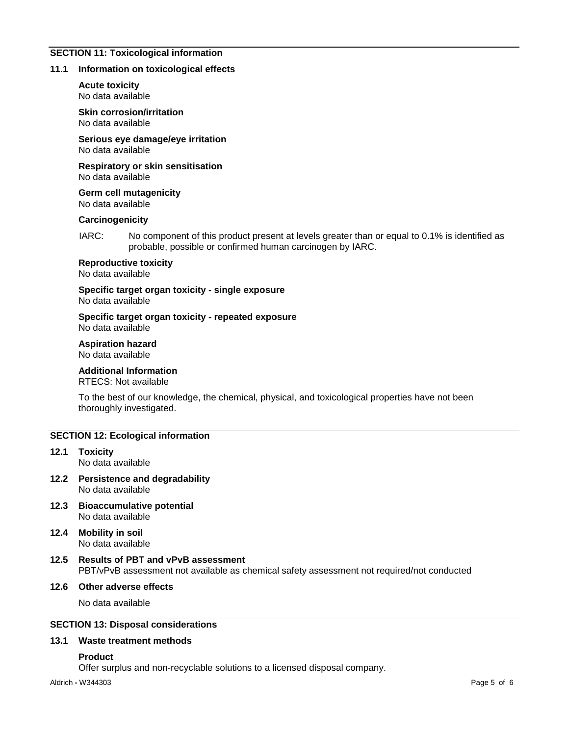## **SECTION 11: Toxicological information**

#### **11.1 Information on toxicological effects**

**Acute toxicity** No data available

**Skin corrosion/irritation** No data available

**Serious eye damage/eye irritation** No data available

**Respiratory or skin sensitisation** No data available

**Germ cell mutagenicity** No data available

#### **Carcinogenicity**

IARC: No component of this product present at levels greater than or equal to 0.1% is identified as probable, possible or confirmed human carcinogen by IARC.

**Reproductive toxicity**

No data available

**Specific target organ toxicity - single exposure** No data available

**Specific target organ toxicity - repeated exposure** No data available

**Aspiration hazard**

No data available

# **Additional Information**

RTECS: Not available

To the best of our knowledge, the chemical, physical, and toxicological properties have not been thoroughly investigated.

#### **SECTION 12: Ecological information**

- **12.1 Toxicity** No data available
- **12.2 Persistence and degradability** No data available
- **12.3 Bioaccumulative potential** No data available
- **12.4 Mobility in soil** No data available
- **12.5 Results of PBT and vPvB assessment** PBT/vPvB assessment not available as chemical safety assessment not required/not conducted

## **12.6 Other adverse effects**

No data available

# **SECTION 13: Disposal considerations**

#### **13.1 Waste treatment methods**

#### **Product**

Offer surplus and non-recyclable solutions to a licensed disposal company.